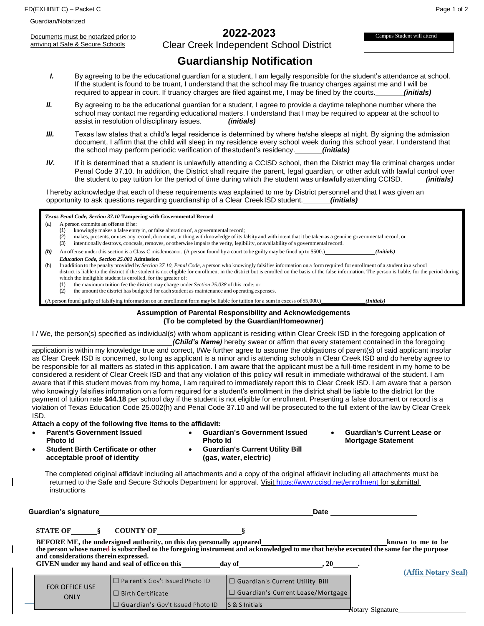FD(EXHIBIT C) – Packet C Page 1 of 2

Guardian/Notarized

Documents must be notarized prior to arriving at Safe & Secure Schools

# **2022-2023**

Clear Creek Independent School District

Campus Student will attend

# **Guardianship Notification**

- *I.* By agreeing to be the educational guardian for a student, I am legally responsible for the student's attendance at school. If the student is found to be truant, I understand that the school may file truancy charges against me and I will be required to appear in court. If truancy charges are filed against me, I may be fined by the courts. *(initials)*
- *II.* By agreeing to be the educational guardian for a student, I agree to provide a daytime telephone number where the school may contact me regarding educational matters. I understand that I may be required to appear at the school to assist in resolution of disciplinary issues. *(initials)*
- *III.* Texas law states that a child's legal residence is determined by where he/she sleeps at night. By signing the admission document, I affirm that the child will sleep in my residence every school week during this school year. I understand that the school may perform periodic verification of thestudent's residency. *(initials)*
- *IV.* If it is determined that a student is unlawfully attending a CCISD school, then the District may file criminal charges under Penal Code 37.10. In addition, the District shall require the parent, legal guardian, or other adult with lawful control over the student to pay tuition for the period of time during which the student was unlawfully attending CCISD. *(initials)*

I hereby acknowledge that each of these requirements was explained to me by District personnel and that I was given an opportunity to ask questions regarding guardianship of a Clear CreekISD student. *(initials)*

*Texas Penal Code, Section 37.10* **Tampering with Governmental Record**

- (a) A person commits an offense if he:
	- (1) knowingly makes a false entry in, or false alteration of, a governmental record;
	- (2) makes, presents, or uses any record, document, or thing with knowledge of its falsity and with intent that it be taken as a genuine governmental record; or
	- (3) intentionally destroys, conceals, removes, or otherwise impairsthe verity, legibility, or availability of a governmentalrecord.
- *(b)* An offense under this section is a Class C misdemeanor. (A person found by a court to be guilty may be fined up to \$500.) *(Initials)*
- *Education Code, Section 25.001* **Admission**
- (h) In addition to the penalty provided by *Section 37.10, Penal Code*, a person who knowingly falsifies information on a form required for enrollment of a student in a school district is liable to the district if the student is not eligible for enrollment in the district but is enrolled on the basis of the false information. The person is liable, for the period during which the ineligible student is enrolled, for the greater of:
	- (1) the maximum tuition fee the district may charge under *Section 25.038* of this code; or
	- (2) the amount the district has budgeted for each student as maintenance and operating expenses.

(A person found guilty of falsifying information on an enrollment form may be liable for tuition for a sum in excess of \$5,000.) *(Initials)*

#### **Assumption of Parental Responsibility and Acknowledgements (To be completed by the Guardian/Homeowner)**

I / We, the person(s) specified as individual(s) with whom applicant is residing within Clear Creek ISD in the foregoing application of

*(Child's Name)* hereby swear or affirm that every statement contained in the foregoing application is within my knowledge true and correct, I/We further agree to assume the obligations of parent(s) of said applicant insofar as Clear Creek ISD is concerned, so long as applicant is a minor and is attending schools in Clear Creek ISD and do hereby agree to be responsible for all matters as stated in this application. I am aware that the applicant must be a full-time resident in my home to be considered a resident of Clear Creek ISD and that any violation of this policy will result in immediate withdrawal of the student. I am aware that if this student moves from my home, I am required to immediately report this to Clear Creek ISD. I am aware that a person who knowingly falsifies information on a form required for a student's enrollment in the district shall be liable to the district for the payment of tuition rate **\$44.18** per school day if the student is not eligible for enrollment. Presenting a false document or record is a violation of Texas Education Code 25.002(h) and Penal Code 37.10 and will be prosecuted to the full extent of the law by Clear Creek ISD.

**Attach a copy of the following five items to the affidavit:**

- **Parent's Government Issued Photo Id** • **Guardian's Government Issued Photo Id** • **Guardian's Current Utility Bill** • **Guardian's Current Lease or Mortgage Statement**
- **Student Birth Certificate or other acceptable proof of identity**
- **(gas, water, electric)**

The completed original affidavit including all attachments and a copy of the original affidavit including all attachments must be returned to the Safe and Secure Schools Department for approval. Visi[t https://www.ccisd.net/enrollment](https://www.ccisd.net/enrollment) for submittal instructions

| Guardian's signature_                 |                                                                       | Date                                                                                                                                                                                                                                        |                     |  |  |
|---------------------------------------|-----------------------------------------------------------------------|---------------------------------------------------------------------------------------------------------------------------------------------------------------------------------------------------------------------------------------------|---------------------|--|--|
| STATE OF \,                           | COUNTY OF                                                             |                                                                                                                                                                                                                                             |                     |  |  |
|                                       | BEFORE ME, the undersigned authority, on this day personally appeared |                                                                                                                                                                                                                                             | known to me to be   |  |  |
| and considerations therein expressed. | GIVEN under my hand and seal of office on this                        | BEFORE ME, the undersigned authority, on this day personally appeared<br>the person whose named is subscribed to the foregoing instrument and acknowledged to me that he/she executed the same for the purpose<br>$\overline{20}$<br>day of |                     |  |  |
|                                       | $\Box$ Pa rent's Gov't Issued Photo ID                                | $\Box$ Guardian's Current Utility Bill                                                                                                                                                                                                      | (Affix Notary Seal) |  |  |
| <b>FOR OFFICE USE</b><br>ONLY         | $\Box$ Birth Certificate                                              | $\Box$ Guardian's Current Lease/Mortgage                                                                                                                                                                                                    |                     |  |  |